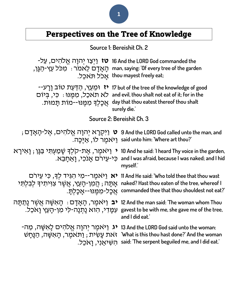# Perspectives on the Tree of Knowledge

**Source 1: Bereishit Ch. 2**

| f 16 And the LORD God commanded the יִצְו יִהְוָה אֱלֹהִים, עַל־<br>חַאֲדָם לֵאמר $\cdot$ מִכּל עֵץ-הַגֵּן, man, saying: '0f every tree of the garden | :thou mayest freely eat אֲכֹל תָּאְכֶל.                                                                                                                                                                                                                       |  |
|-------------------------------------------------------------------------------------------------------------------------------------------------------|---------------------------------------------------------------------------------------------------------------------------------------------------------------------------------------------------------------------------------------------------------------|--|
| ּאֲכָלִךְ מִמְּנוּ--מוֹת תָּמוּת.                                                                                                                     | יּמְעֵץ, הַדַּעַת טוֹב וַרַע־- , וּמֵעֵץ וֹהַדַּעַת טוֹב וַרַע־-<br>and evil, thou shalt not eat of it; for in the לֹא תאכַל, מִמְנוּ : כִּי, בְּיוֹם<br>day that thou eatest thereof thou shalt<br>surely die.                                               |  |
| Source 2: Bereishit Ch. 3                                                                                                                             |                                                                                                                                                                                                                                                               |  |
|                                                                                                                                                       | ; יִקְרָא יְהוָה אֱלֹהִים, אֱלֹהיוּם, אֱלֹהיוּם 9 And the L0RD God called unto the man, and<br>?said unto him: 'Where art thou (יאמר לו, אַיֵּכָה.                                                                                                            |  |
|                                                                                                                                                       | ן יָאירָא [יאמר, אֵת-קלך שָׁמַעִתִּי בַּגָּן ; אֲירָא 10 And he said: 'I heard Thy voice in the garden,<br>.מֵרָכִי, וַאֱחֲבֵא and I was afraid, because I was naked; and I hid<br>myself.                                                                    |  |
| אָתָּה ; הֲמִן-הָעֵץ, אֲשֶׁר צִוּיתִיךָ לִבְלִתִּי<br>ּאֲכַל-מִמֵּנוּ--אֲכַלְתַּ.                                                                     | יאמֱר־־מִי הְגִיד לִדְ, כִּי עֵירם (א 11 And He said: 'Who told thee that thou wast<br>naked? Hast thou eaten of the tree, whereof I<br>commanded thee that thou shouldest not eat?'                                                                          |  |
| <b>יב</b> וַיּאמֶר, הָאָדָם ּ הָאשָׁה אַשֵּׁר נַתַּתָּה <b>י</b><br>ּעְמַַדִי, הוא נַתִנַה-לִי מִן-הַעֵּץ וַאכֵל.                                     | 12 And the man said: 'The woman whom Thou<br>gavest to be with me, she gave me of the tree,<br>and I did eat.                                                                                                                                                 |  |
|                                                                                                                                                       | <b>יג</b> ניאמֵר יִהוָה אֱלֹהִים לָאשֶׁה, מַה־13 And the L0RD God said unto the woman:<br>י את עֲשִׂית; זַרַּאמֵר, הָאשָּׁה, הַנָּחָשׁ `What is this thou hast done?' And the woman<br>ּהָשִׁיאֲנִי, וַאֹכֵל. said: 'The serpent beguiled me, and I did eat.' |  |

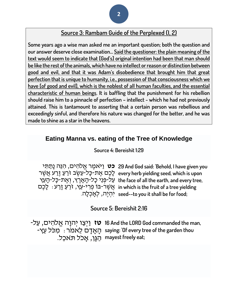## **Source 3: Rambam Guide of the Perplexed (I, 2)**

**Some years ago a wise man asked me an important question; both the question and our answer deserve close examination… Said the questioner: the plain meaning of the text would seem to indicate that [God's] original intention had been that man should be like the rest of the animals, which have no intellect or reason or distinction between good and evil, and that it was Adam's disobedience that brought him that great perfection that is unique to humanity, i.e., possession of that consciousness which we have [of good and evil], which is the noblest of all human faculties, and the essential characteristic of human beings. It is baffling that the punishment for his rebellion should raise him to a pinnacle of perfection – intellect - which he had not previously attained. This is tantamount to asserting that a certain person was rebellious and exceedingly sinful, and therefore his nature was changed for the better, and he was made to shine as a star in the heavens.**

### **Eating Manna vs. eating of the Tree of Knowledge**

**Source 4: Bereishit 1:29**

**כט** וַי ֹאמֶּ ר אֱ ֹלהִ ים, הִ ּנֵה נָתַ תִ י **29 And God said: 'Behold, I have given you**  ْלֶכֶּם אֶת-כָּל<sup>ֹבְ</sup>עֵשֶׂב זֹרֵעַ זָרַעׁ אֲשֶׁר every herb yielding seed, which is upon עַל-פְּנֵי כָל-הָאָרֶץ, וְאֶת-כָּל-הָעֵץ the face of all the earth, and every tree, ּאֲ שֵׁר<sup>ִבְ</sup>בֹּוֹ פְּרִי-עֵץ, זֹרֵעַ זָרַע : לָכֶם in which is the fruit of a tree yielding יִהְ יֶּה, לְאָ כְ לָה. **seed--to you it shall be for food;**

### **Source 5: Bereishit 2:16**

**טז** וַיְצַ ו יְהוָה אֱ ֹלהִ ים, עַ ל- **16 And the LORD God commanded the man,**  הָ אָ דָ ם לֵאמֹר: מִ כֹל עֵ ץ- **saying: 'Of every tree of the garden thou**  :mayest freely eat רַגְּן, אָכל תּאכֵל.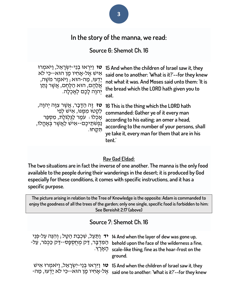# **In the story of the manna, we read:**

### **Source 6: Shemot Ch. 16**

**טו** וַיִּרְאוּ בְנֵי-יִשְׂרָאֵל, וַיּאמְרוּ אִישׁ אֵל-אַחִיו מֵן הוּא--כִּי לֹא יָדְעוּ, מַה-הוּא ; וַיּאמֶר מֹשֵׁה, אֲלֶהֶם, הוּא הַלֶּחֵם, אֲשֶׁר נָתַן יְהוָה לָכֶם לְאָכְלָה.

**ָטז** זֶה הַדָּבָר, אֲשֶׁר צִוָּה יִהוָה, לִקְטוּ מִמֵּנּוּ, אִישׁ לִפִי אָכְלוֹ : עֹמֶר לַגִּלְגֹּלֵת, מִסְפֵּר ַנַּפְשַׁתֵיכֶם--אָיֹשׂ לַאֲשֶׁר בְּאָהֱלֹו, תִ קָ חּו.

**15 And when the children of Israel saw it, they said one to another: 'What is it?'--for they knew not what it was. And Moses said unto them: 'It is the bread which the LORD hath given you to eat.**

**16 This is the thing which the LORD hath commanded: Gather ye of it every man according to his eating; an omer a head, according to the number of your persons, shall ye take it, every man for them that are in his tent.'**

#### **Rav Gad Eldad:**

**The two situations are in fact the inverse of one another. The manna is the only food available to the people during their wanderings in the desert; it is produced by God especially for these conditions, it comes with specific instructions, and it has a specific purpose.**

**The picture arising in relation to the Tree of Knowledge is the opposite: Adam is commanded to enjoy the goodness of all the trees of the garden; only one single, specific food is forbidden to him: See Bereishit 2:17 (above)**

#### **Source 7: Shemot Ch. 16**

| יד וַתַּעֲל, שְׁכְבַת הַטָּל; וְהִגֵּה עַל-פְּגֵי 14 And when the layer of dew was gone up,<br>behold upon the face of the wilderness a fine, הַמִּדְבָּר, דַּק מִחְסִפָּס--דַּק כַּכִּפֹר, עַל-<br>ּהָאֲרֶץ. scale-like thing, fine as the hoar-frost on the<br>ground. |
|--------------------------------------------------------------------------------------------------------------------------------------------------------------------------------------------------------------------------------------------------------------------------|
| פֿון פֿון יַרְאוּ בְנֵי-יִשְׂרָאֵל, וַיּאמְרוּ אָישׁ 15 And when the children of Israel saw it, they<br>יִדעוּ, מַה־said one to another: 'What is it?'--for they knew                                                                                                    |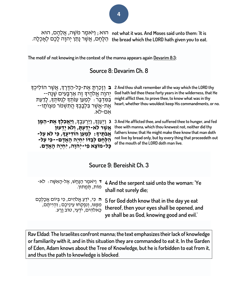הּוּא; וַ<sup>אָ</sup>מְמֶר מֹשֶׁה, אֲלֵהֶם, הוּא not what it was. And Moses said unto them: 'It is the bread which the LORD hath given you to eat. הַלֶּחֶם, אֲשֶׁר נָתַן יְהוָה לָכֶם לְאָכְלָה.

**The motif of not knowing in the context of the manna appears again [Devarim](https://www.sefaria.org/Deuteronomy.8.3?lang=he-en&utm_source=etzion.org.il&utm_medium=sefaria_linker) [8:3:](https://www.sefaria.org/Deuteronomy.8.3?lang=he-en&utm_source=etzion.org.il&utm_medium=sefaria_linker)**

### **Source 8: Devarim Ch. 8**

**ּב** וְזָכַרְתָּ אֶת-כָּל-הַדֶּרֶדְּ, אֲשֶׁר הוֹלִיכְךָ יְהוָה אֱלֹהֶיִךְ זֶה אַרְבָּעִים שָׁנַה--בַּמִּדְבָר : לְמַעַן עַנּתְךָ לְנַסֹתְךָ, לָדַעַת ּ אֶת-אֲשֶׁר בִּלְבָבְךָּ הֲתִשְׁמֹר מִצְוֹתָו--ּ אִם-לֹא.

**ג** וַיִּעַנְדָּ, וַיַּרְעִבֵדָּ, **וַיַּאֲכְלְדָּ אֶת־הַמֵּן אֲ שֶ ר ל ֹא-יָּדַ עְ תָּ , וְ ל ֹא יָּדְ עּון**  אֲבֹתֶיךָ: לִמַעַן הודִיעֵד*ּ, כִּי לֹא עַל-*הַלֶחֶם לְבַדֹּו יִחְיֶה הָאֲדָם--כִּי עַל-**כָּל-מֹוצָּ א פִ י-יְהוָּה, יִחְ יֶה הָּ אָּ דָּ ם.** 

**2 And thou shalt remember all the way which the LORD thy God hath led thee these forty years in the wilderness, that He might afflict thee, to prove thee, to know what was in thy heart, whether thou wouldest keep His commandments, or no.**

**3 And He afflicted thee, and suffered thee to hunger, and fed thee with manna, which thou knewest not, neither did thy fathers know; that He might make thee know that man doth not live by bread only, but by every thing that proceedeth out of the mouth of the LORD doth man live.**

#### **Source 9: Bereishit Ch. 3**

| + וַיּאמֵר הַנָּחָשׁ, אֵל-הָאִשָּׁה : לֹא-      | 4 And the serpent said unto the woman: 'Ye   |
|-------------------------------------------------|----------------------------------------------|
| מות, תִּמֻתוּן.                                 | shall not surely die;                        |
| ה כִּי, יֹדֵעַ אֱלֹהִים, כִּי בִּיוֹם אֲכָלִכֵם | 5 for God doth know that in the day ye eat   |
| ֹמְמֵנּוּ, וְנִפְקְחוּ עֵינֵיכֵם ; וְהִיִיתֵם,  | thereof, then your eyes shall be opened, and |
| כֵּאלהִים, יֹדְעֵי, טוֹב וַרַע.                 | ye shall be as God, knowing good and evil.'  |

**Rav Eldad: The Israelites confront manna; the text emphasizes their lack of knowledge or familiarity with it, and in this situation they are commanded to eat it. In the Garden of Eden, Adam knows about the Tree of Knowledge, but he is forbidden to eat from it, and thus the path to knowledge is blocked**.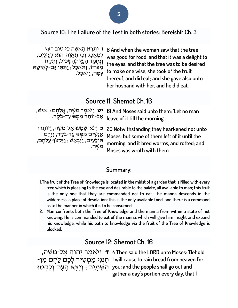#### **Source 10: The Failure of the Test in both stories: Bereishit Ch. 3**

**ו** וַתֵּרֵא הַאִשָּׁה כִּי טוֹב הַעֵּץ לְמַאֲכָל וְכִי תַאֲוָה-הוּא לָעֵינַיִם, וְנֶחְמָד הָעֵץ לְהַשְׁכִּיל, וַתִּקַּח מִפְּרְיוֹ, וַתּגִקְבָל; וַתְּתֵן גַּם-לְאִישָׁהּ עִמֵה, וַיֹּאכַל.

**6 And when the woman saw that the tree was good for food, and that it was a delight to the eyes, and that the tree was to be desired to make one wise, she took of the fruit thereof, and did eat; and she gave also unto her husband with her, and he did eat.**

# **Source 11: Shemot Ch. 16**

**יט** וַי ֹאמֶּ ר מֹשֶּ ה, אֲ לֵהֶּ ם: אִ יש, **19 And Moses said unto them: 'Let no man**  אַל-יוֹתֵר מִמֵּנּוּ עַד-בֹקֵר. **leave of it till the morning.'**

**כ** וְלֹא-שָׁמְעוּ אֱל-מֹשֶׁה, וַיּוֹתִרוּ אֲנָשִׁים מִמֶּנּוּ עַד-בֹּקֶר, וַיָּרֶם תֹולָעִ ים, וַיִבְ אַ ש; וַיִקְ צֹף עֲלֵהֶּ ם, מֹשֶּ ה.

**20 Notwithstanding they hearkened not unto Moses; but some of them left of it until the morning, and it bred worms, and rotted; and Moses was wroth with them.**

#### **Summary:**

- **1.The fruit of the Tree of Knowledge is located in the midst of a garden that is filled with every tree which is pleasing to the eye and desirable to the palate, all available to man; this fruit is the only one that they are commanded not to eat. The manna descends in the wilderness, a place of desolation; this is the only available food, and there is a command as to the manner in which it is to be consumed.**
- **2. Man confronts both the Tree of Knowledge and the manna from within a state of not knowing. He is commanded to eat of the manna, which will give him insight and expand his knowledge, while his path to knowledge via the fruit of the Tree of Knowledge is blocked.**

# **Source 12: Shemot Ch. 16**

**ד** וַי ֹאמֶּ ר יְהוָה אֶּ ל-מֹשֶּ ה, **4 Then said the LORD unto Moses: 'Behold,**  הִ נְנִי מַ מְ טִ יר לָכֶּם לֶּחֶּ ם מִ ן- **I will cause to rain bread from heaven for**  ּיִט הַשֶּׁמָיִם; וְיָצָא הָעָם וְלָקְטוּ you; and the people shall go out and

**gather a day's portion every day, that I**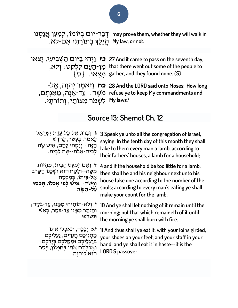ּדְּבַר-יוֹם בְּיוֹמוֹ, לְמַעַן אֲנַסֶּנּוּ may prove them, whether they will walk in .My law, or not. הֲיֵלֵךְ בְּתוֹרָתִי אִם-לֹא

**וֹיְהִי בַּיּוֹם הַשְּׁבִיעִי, יָצְאוּ 27** And it came to pass on the seventh day, מִ ן-הָ עָ ם לִלְקֹט; וְ ל ֹא,  $\{ \sigma \}$ ַ מְצָאוּ.  $\{ \sigma \}$ **that there went out some of the people to gather, and they found none. {S}**

**כח** וַי ֹאמֶּ ר יְהוָה, אֶּ ל- **28 And the LORD said unto Moses: 'How long**  מֹשֶּ ה: עַ ד-אָ נָה, מֵ אַ נְתֶּ ם, **refuse ye to keep My commandments and**  יִשְׁמ*ֹר מִצְוֹתַי,* וְתוֹרתָי. <sup>א</sup>ֵ My laws?

# **Source 13: Shemot Ch. 12**

| ג דַּבְּרוּ, אֱל-כָּל-עֲדַת יִשְׂרָאֱל                                                                                                                                       | 3 Speak ye unto all the congregation of Israel,                                                                                                                              |
|------------------------------------------------------------------------------------------------------------------------------------------------------------------------------|------------------------------------------------------------------------------------------------------------------------------------------------------------------------------|
| לֵאמֹר, בֵּעָשׂר, לַחֹדֵשׁ                                                                                                                                                   | saying: In the tenth day of this month they shall                                                                                                                            |
| הַזֵּה: וַיִּקְחוּ לָהֵם, אִישׁ שֵׂה                                                                                                                                         | take to them every man a lamb, according to                                                                                                                                  |
| לְבֵית-אֲבֹת--שֶׂה לַבָּיִת.                                                                                                                                                 | their fathers' houses, a lamb for a household;                                                                                                                               |
| ד וְאִם-יְמְעַט הַבַּיְת, מְהִיוֹת                                                                                                                                           | 4 and if the household be too little for a lamb,                                                                                                                             |
| מִשֶּׂה--וְלָקַח הוּא וּשָׁכֵנוֹ הַקֵּרֹב                                                                                                                                    | then shall he and his neighbour next unto his                                                                                                                                |
| אֵל-בֵּיתוֹ, בִּמְכִסַת                                                                                                                                                      | house take one according to the number of the                                                                                                                                |
| נְפָשׁת : אִישׁ לְפִי אָכְלוֹ, תָּכֹּסוּ                                                                                                                                     | souls; according to every man's eating ye shall                                                                                                                              |
| עַל-הַשַּׂה.                                                                                                                                                                 | make your count for the lamb.                                                                                                                                                |
| י ולא-תותירו מִמֵּנוּ, עַד-בֹּקֵר;                                                                                                                                           | 10 And ye shall let nothing of it remain until the                                                                                                                           |
| וְהַנֹּתָר מִמֵּנוּ עַד-בֹּקֶר, בָּאֵשׁ                                                                                                                                      | morning; but that which remaineth of it until                                                                                                                                |
| ּתִּשָׂרֹפוּ.                                                                                                                                                                | the morning ye shall burn with fire.                                                                                                                                         |
| <b>יא</b> וְכָכָה, תּאכִלוּ אֹתוֹ--<br>מָתְנֵיכֶם חֲגִרִים, נַעֲלֵיכֵם<br>בִּרַגְלֵיכֵם וּמַקֵּלְכֶם בְּיֵדְכֶם;<br>וַאֲכַלְתֵּם אֹתוֹ בִּחִפָּזוֹן, פֵּסַח<br>הוּא לַיהוַה. | 11 And thus shall ye eat it: with your loins girded,<br>your shoes on your feet, and your staff in your<br>hand; and ye shall eat it in haste--it is the<br>LORD'S passover. |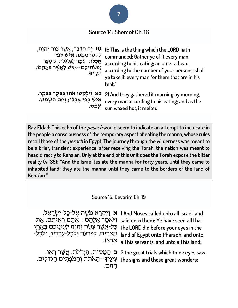

**Rav Eldad: This echo of the pesach would seem to indicate an attempt to inculcate in the people a consciousness of the temporary aspect of eating the manna, whose rules recall those of the pesach in Egypt. The journey through the wilderness was meant to be a brief, transient experience; after receiving the Torah, the nation was meant to head directly to Kena'an. Only at the end of this unit does the Torah expose the bitter reality (v. 35): "And the Israelites ate the manna for forty years, until they came to inhabited land; they ate the manna until they came to the borders of the land of Kena'an."**

**Source 15: Devarim Ch. 19**

| ehe LORD did before your eyes in the בָּל-אֲשֶׁר עָשָׂה יְהוָה לְעֵינֵיכֶם בְּאֶרֶץ<br>and of Egypt unto Pharaoh, and unto מִצְרַיִם, לְפַרְעֹה וּלְכָל-עַבְדָיו, וּלִכְלֹ- | יִקְרָא מֹשֶׁה אֱל-כָּל-יִשְׂרָאֵל, 1 And Moses called unto all Israel, and<br>נ <sup>אָמֶר</sup> אֲלֵהֶם : אֲתֶּם רְאִיתֶם, אֵת said unto them: Ye have seen all that<br>אַרְצוֹ. all his servants, and unto all his land; |
|-----------------------------------------------------------------------------------------------------------------------------------------------------------------------------|-----------------------------------------------------------------------------------------------------------------------------------------------------------------------------------------------------------------------------|
| the signs and those great wonders; עִינֶיךָ--הָאתת וְהַמַּפְתִים הַגְדֹלִים,                                                                                                | , בּ הַמֲסוֹת, הַגְּדֹלֹת, אֲשֵׁר רָאוּ 2 the great trials which thine eyes saw,                                                                                                                                            |

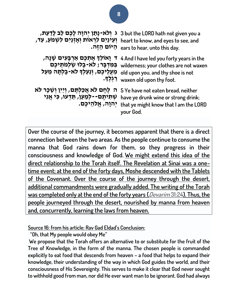| ג וְלֹא-נְתַן יְהִוָה לָכֶם לֵב לָדַעַת,<br>וְעֵינַיִם לְרְאוֹת וְאָזְנַיִם לְשְמֹעַ, עַד,                                     | 3 but the LORD hath not given you a<br>heart to know, and eyes to see, and<br>ears to hear, unto this day.                             |
|--------------------------------------------------------------------------------------------------------------------------------|----------------------------------------------------------------------------------------------------------------------------------------|
| ד וַאוֹלֵךְ אֵתְכֵם אַרְבָּעִים שָׁנָה <i>,</i><br>old upon you, and thy shoe is not מֵעֲלֵיכֶם, וְנַעַלְךָ לֹא-בָלְתָה מֵעַל  | 4 And I have led you forty years in the<br>שַׁלְמֹתֵיכֶם wilderness; your clothes are not waxen<br>•יִגְלֶךָ. waxen old upon thy foot. |
| ה לְחֶם לֹא אֲכַלְתֶּם, וְיַיִּן וְשֵׁכָר לֹא T אֵבַלְתֶּם, וְיַיִּן וְשֵׁכָר לֹא<br>ּשְׁתִיתֶם--לְמַעַן, תֵּדְעוּ, כִּי אֲנִי | have ye drunk wine or strong drink;<br>יהוה, אֱלהֵיכֵם. that ye might know that l am the LORD<br>your God.                             |

**Over the course of the journey, it becomes apparent that there is a direct connection between the two areas. As the people continue to consume the manna that God rains down for them, so they progress in their consciousness and knowledge of God. We might extend this idea of the direct relationship to the Torah itself. The Revelation at Sinai was a onetime event; at the end of the forty days, Moshe descended with the Tablets of the Covenant. Over the course of the journey through the desert, additional commandments were gradually added. The writing of the Torah was completed only at the end of the forty years ([Devarim](https://www.sefaria.org/Deuteronomy.31.24?lang=he-en&utm_source=etzion.org.il&utm_medium=sefaria_linker) [31:24\)](https://www.sefaria.org/Deuteronomy.31.24?lang=he-en&utm_source=etzion.org.il&utm_medium=sefaria_linker). Thus, the people journeyed through the desert, nourished by manna from heaven and, concurrently, learning the laws from heaven.**

**Source 16: from his article: Rav Gad Eldad's Conclusion:**

**"Oh, that My people would obey Me"**

**We propose that the Torah offers an alternative to or substitute for the fruit of the Tree of Knowledge, in the form of the manna. The chosen people is commanded explicitly to eat food that descends from heaven – a food that helps to expand their knowledge, their understanding of the way in which God guides the world, and their consciousness of His Sovereignty. This serves to make it clear that God never sought to withhold good from man, nor did He ever want man to be ignorant. God had always**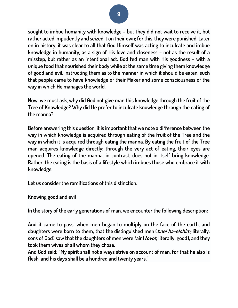**sought to imbue humanity with knowledge – but they did not wait to receive it, but rather acted impudently and seized it on their own; for this, they were punished. Later on in history, it was clear to all that God Himself was acting to inculcate and imbue knowledge in humanity, as a sign of His love and closeness – not as the result of a misstep, but rather as an intentional act. God fed man with His goodness – with a unique food that nourished their body while at the same time giving them knowledge of good and evil, instructing them as to the manner in which it should be eaten, such that people came to have knowledge of their Maker and some consciousness of the way in which He manages the world.**

**Now, we must ask, why did God not give man this knowledge through the fruit of the Tree of Knowledge? Why did He prefer to inculcate knowledge through the eating of the manna?**

**Before answering this question, it is important that we note a difference between the way in which knowledge is acquired through eating of the fruit of the Tree and the way in which it is acquired through eating the manna. By eating the fruit of the Tree man acquires knowledge directly: through the very act of eating, their eyes are opened. The eating of the manna, in contrast, does not in itself bring knowledge. Rather, the eating is the basis of a lifestyle which imbues those who embrace it with knowledge.**

**Let us consider the ramifications of this distinction.**

**Knowing good and evil**

**In the story of the early generations of man, we encounter the following description:**

**And it came to pass, when men began to multiply on the face of the earth, and daughters were born to them, that the distinguished men (bnei ha-elohim; literally: sons of God) saw that the daughters of men were fair (tovot; literally: good), and they took them wives of all whom they chose.**

**And God said: "My spirit shall not always strive on account of man, for that he also is flesh, and his days shall be a hundred and twenty years."**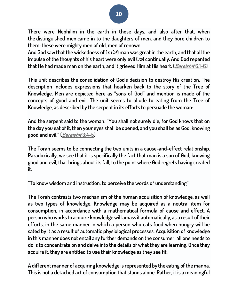**There were Nephilim in the earth in those days, and also after that, when the distinguished men came in to the daughters of men, and they bore children to them; these were mighty men of old, men of renown.**

**And God saw that the wickedness of (ra'at) man was great in the earth, and that all the impulse of the thoughts of his heart were only evil (ra) continually. And God repented that He had made man on the earth, and it grieved Him at His heart. ([Bereishit](https://www.sefaria.org/Genesis.6.1-6?lang=he-en&utm_source=etzion.org.il&utm_medium=sefaria_linker) [6:1-6\)](https://www.sefaria.org/Genesis.6.1-6?lang=he-en&utm_source=etzion.org.il&utm_medium=sefaria_linker)**

**This unit describes the consolidation of God's decision to destroy His creation. The description includes expressions that hearken back to the story of the Tree of Knowledge. Men are depicted here as "sons of God" and mention is made of the concepts of good and evil. The unit seems to allude to eating from the Tree of Knowledge, as described by the serpent in its efforts to persuade the woman:**

**And the serpent said to the woman: "You shall not surely die, for God knows that on the day you eat of it, then your eyes shall be opened, and you shall be as God, knowing good and evil." ([Bereishit](https://www.sefaria.org/Genesis.3.4-5?lang=he-en&utm_source=etzion.org.il&utm_medium=sefaria_linker) [3:4-5\)](https://www.sefaria.org/Genesis.3.4-5?lang=he-en&utm_source=etzion.org.il&utm_medium=sefaria_linker)**

**The Torah seems to be connecting the two units in a cause-and-effect relationship. Paradoxically, we see that it is specifically the fact that man is a son of God, knowing good and evil, that brings about its fall, to the point where God regrets having created it.**

**"To know wisdom and instruction; to perceive the words of understanding"**

**The Torah contrasts two mechanism of the human acquisition of knowledge, as well as two types of knowledge. Knowledge may be acquired as a neutral item for consumption, in accordance with a mathematical formula of cause and effect. A person who works to acquire knowledge will amass it automatically, as a result of their efforts, in the same manner in which a person who eats food when hungry will be sated by it as a result of automatic physiological processes. Acquisition of knowledge in this manner does not entail any further demands on the consumer: all one needs to do is to concentrate on and delve into the details of what they are learning. Once they acquire it, they are entitled to use their knowledge as they see fit.**

**A different manner of acquiring knowledge is represented by the eating of the manna. This is not a detached act of consumption that stands alone. Rather, it is a meaningful**